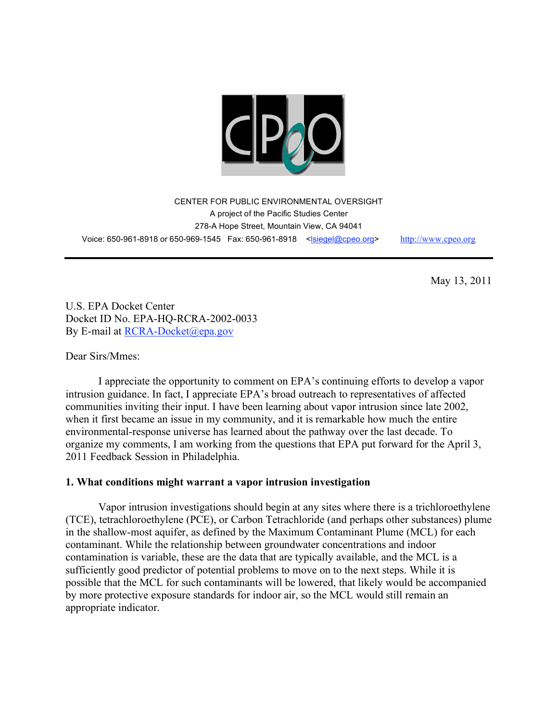

CENTER FOR PUBLIC ENVIRONMENTAL OVERSIGHT A project of the Pacific Studies Center 278-A Hope Street, Mountain View, CA 94041 Voice: 650-961-8918 or 650-969-1545 Fax: 650-961-8918 <lsiegel@cpeo.org> http://www.cpeo.org

May 13, 2011

U.S. EPA Docket Center Docket ID No. EPA-HQ-RCRA-2002-0033 By E-mail at RCRA-Docket@epa.gov

Dear Sirs/Mmes:

I appreciate the opportunity to comment on EPA's continuing efforts to develop a vapor intrusion guidance. In fact, I appreciate EPA's broad outreach to representatives of affected communities inviting their input. I have been learning about vapor intrusion since late 2002, when it first became an issue in my community, and it is remarkable how much the entire environmental-response universe has learned about the pathway over the last decade. To organize my comments, I am working from the questions that EPA put forward for the April 3, 2011 Feedback Session in Philadelphia.

## **1. What conditions might warrant a vapor intrusion investigation**

Vapor intrusion investigations should begin at any sites where there is a trichloroethylene (TCE), tetrachloroethylene (PCE), or Carbon Tetrachloride (and perhaps other substances) plume in the shallow-most aquifer, as defined by the Maximum Contaminant Plume (MCL) for each contaminant. While the relationship between groundwater concentrations and indoor contamination is variable, these are the data that are typically available, and the MCL is a sufficiently good predictor of potential problems to move on to the next steps. While it is possible that the MCL for such contaminants will be lowered, that likely would be accompanied by more protective exposure standards for indoor air, so the MCL would still remain an appropriate indicator.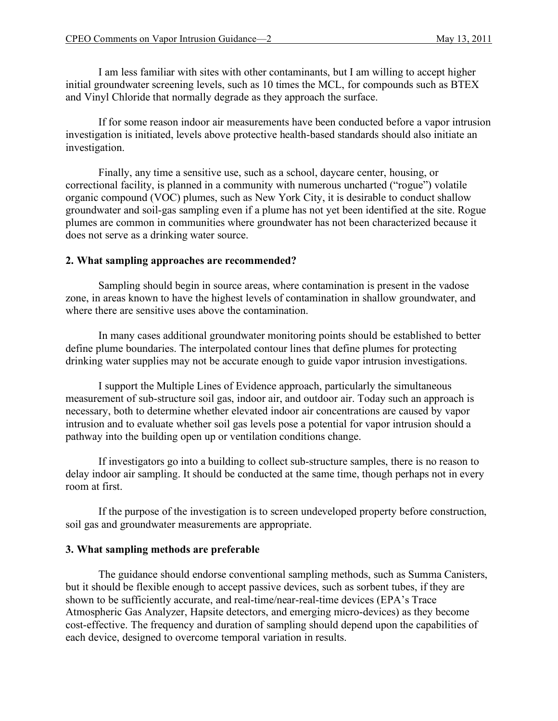I am less familiar with sites with other contaminants, but I am willing to accept higher initial groundwater screening levels, such as 10 times the MCL, for compounds such as BTEX and Vinyl Chloride that normally degrade as they approach the surface.

If for some reason indoor air measurements have been conducted before a vapor intrusion investigation is initiated, levels above protective health-based standards should also initiate an investigation.

Finally, any time a sensitive use, such as a school, daycare center, housing, or correctional facility, is planned in a community with numerous uncharted ("rogue") volatile organic compound (VOC) plumes, such as New York City, it is desirable to conduct shallow groundwater and soil-gas sampling even if a plume has not yet been identified at the site. Rogue plumes are common in communities where groundwater has not been characterized because it does not serve as a drinking water source.

## **2. What sampling approaches are recommended?**

Sampling should begin in source areas, where contamination is present in the vadose zone, in areas known to have the highest levels of contamination in shallow groundwater, and where there are sensitive uses above the contamination.

In many cases additional groundwater monitoring points should be established to better define plume boundaries. The interpolated contour lines that define plumes for protecting drinking water supplies may not be accurate enough to guide vapor intrusion investigations.

I support the Multiple Lines of Evidence approach, particularly the simultaneous measurement of sub-structure soil gas, indoor air, and outdoor air. Today such an approach is necessary, both to determine whether elevated indoor air concentrations are caused by vapor intrusion and to evaluate whether soil gas levels pose a potential for vapor intrusion should a pathway into the building open up or ventilation conditions change.

If investigators go into a building to collect sub-structure samples, there is no reason to delay indoor air sampling. It should be conducted at the same time, though perhaps not in every room at first.

If the purpose of the investigation is to screen undeveloped property before construction, soil gas and groundwater measurements are appropriate.

## **3. What sampling methods are preferable**

The guidance should endorse conventional sampling methods, such as Summa Canisters, but it should be flexible enough to accept passive devices, such as sorbent tubes, if they are shown to be sufficiently accurate, and real-time/near-real-time devices (EPA's Trace Atmospheric Gas Analyzer, Hapsite detectors, and emerging micro-devices) as they become cost-effective. The frequency and duration of sampling should depend upon the capabilities of each device, designed to overcome temporal variation in results.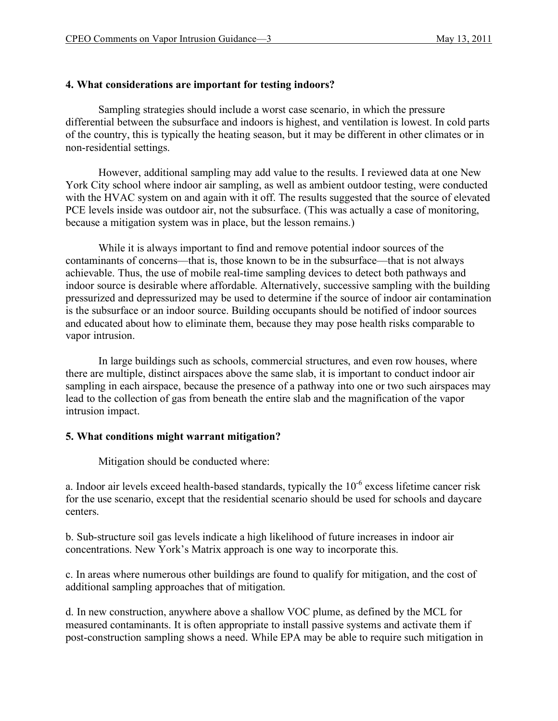# **4. What considerations are important for testing indoors?**

Sampling strategies should include a worst case scenario, in which the pressure differential between the subsurface and indoors is highest, and ventilation is lowest. In cold parts of the country, this is typically the heating season, but it may be different in other climates or in non-residential settings.

However, additional sampling may add value to the results. I reviewed data at one New York City school where indoor air sampling, as well as ambient outdoor testing, were conducted with the HVAC system on and again with it off. The results suggested that the source of elevated PCE levels inside was outdoor air, not the subsurface. (This was actually a case of monitoring, because a mitigation system was in place, but the lesson remains.)

While it is always important to find and remove potential indoor sources of the contaminants of concerns—that is, those known to be in the subsurface—that is not always achievable. Thus, the use of mobile real-time sampling devices to detect both pathways and indoor source is desirable where affordable. Alternatively, successive sampling with the building pressurized and depressurized may be used to determine if the source of indoor air contamination is the subsurface or an indoor source. Building occupants should be notified of indoor sources and educated about how to eliminate them, because they may pose health risks comparable to vapor intrusion.

In large buildings such as schools, commercial structures, and even row houses, where there are multiple, distinct airspaces above the same slab, it is important to conduct indoor air sampling in each airspace, because the presence of a pathway into one or two such airspaces may lead to the collection of gas from beneath the entire slab and the magnification of the vapor intrusion impact.

## **5. What conditions might warrant mitigation?**

Mitigation should be conducted where:

a. Indoor air levels exceed health-based standards, typically the 10-6 excess lifetime cancer risk for the use scenario, except that the residential scenario should be used for schools and daycare centers.

b. Sub-structure soil gas levels indicate a high likelihood of future increases in indoor air concentrations. New York's Matrix approach is one way to incorporate this.

c. In areas where numerous other buildings are found to qualify for mitigation, and the cost of additional sampling approaches that of mitigation.

d. In new construction, anywhere above a shallow VOC plume, as defined by the MCL for measured contaminants. It is often appropriate to install passive systems and activate them if post-construction sampling shows a need. While EPA may be able to require such mitigation in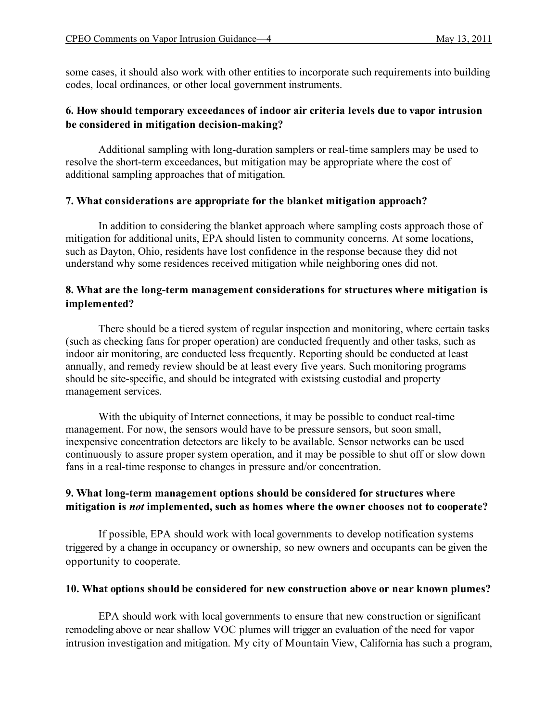some cases, it should also work with other entities to incorporate such requirements into building codes, local ordinances, or other local government instruments.

# **6. How should temporary exceedances of indoor air criteria levels due to vapor intrusion be considered in mitigation decision-making?**

Additional sampling with long-duration samplers or real-time samplers may be used to resolve the short-term exceedances, but mitigation may be appropriate where the cost of additional sampling approaches that of mitigation.

# **7. What considerations are appropriate for the blanket mitigation approach?**

In addition to considering the blanket approach where sampling costs approach those of mitigation for additional units, EPA should listen to community concerns. At some locations, such as Dayton, Ohio, residents have lost confidence in the response because they did not understand why some residences received mitigation while neighboring ones did not.

# **8. What are the long-term management considerations for structures where mitigation is implemented?**

There should be a tiered system of regular inspection and monitoring, where certain tasks (such as checking fans for proper operation) are conducted frequently and other tasks, such as indoor air monitoring, are conducted less frequently. Reporting should be conducted at least annually, and remedy review should be at least every five years. Such monitoring programs should be site-specific, and should be integrated with existsing custodial and property management services.

With the ubiquity of Internet connections, it may be possible to conduct real-time management. For now, the sensors would have to be pressure sensors, but soon small, inexpensive concentration detectors are likely to be available. Sensor networks can be used continuously to assure proper system operation, and it may be possible to shut off or slow down fans in a real-time response to changes in pressure and/or concentration.

# **9. What long-term management options should be considered for structures where mitigation is** *not* **implemented, such as homes where the owner chooses not to cooperate?**

If possible, EPA should work with local governments to develop notification systems triggered by a change in occupancy or ownership, so new owners and occupants can be given the opportunity to cooperate.

## **10. What options should be considered for new construction above or near known plumes?**

EPA should work with local governments to ensure that new construction or significant remodeling above or near shallow VOC plumes will trigger an evaluation of the need for vapor intrusion investigation and mitigation. My city of Mountain View, California has such a program,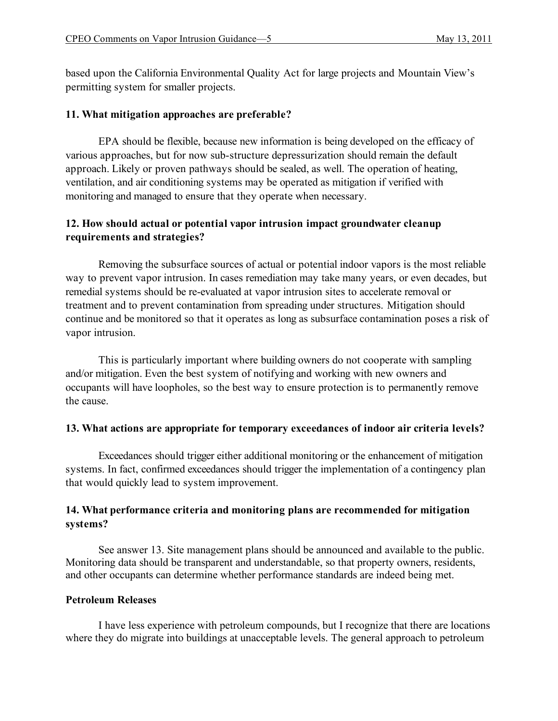based upon the California Environmental Quality Act for large projects and Mountain View's permitting system for smaller projects.

# **11. What mitigation approaches are preferable?**

EPA should be flexible, because new information is being developed on the efficacy of various approaches, but for now sub-structure depressurization should remain the default approach. Likely or proven pathways should be sealed, as well. The operation of heating, ventilation, and air conditioning systems may be operated as mitigation if verified with monitoring and managed to ensure that they operate when necessary.

# **12. How should actual or potential vapor intrusion impact groundwater cleanup requirements and strategies?**

Removing the subsurface sources of actual or potential indoor vapors is the most reliable way to prevent vapor intrusion. In cases remediation may take many years, or even decades, but remedial systems should be re-evaluated at vapor intrusion sites to accelerate removal or treatment and to prevent contamination from spreading under structures. Mitigation should continue and be monitored so that it operates as long as subsurface contamination poses a risk of vapor intrusion.

This is particularly important where building owners do not cooperate with sampling and/or mitigation. Even the best system of notifying and working with new owners and occupants will have loopholes, so the best way to ensure protection is to permanently remove the cause.

## **13. What actions are appropriate for temporary exceedances of indoor air criteria levels?**

Exceedances should trigger either additional monitoring or the enhancement of mitigation systems. In fact, confirmed exceedances should trigger the implementation of a contingency plan that would quickly lead to system improvement.

# **14. What performance criteria and monitoring plans are recommended for mitigation systems?**

See answer 13. Site management plans should be announced and available to the public. Monitoring data should be transparent and understandable, so that property owners, residents, and other occupants can determine whether performance standards are indeed being met.

# **Petroleum Releases**

I have less experience with petroleum compounds, but I recognize that there are locations where they do migrate into buildings at unacceptable levels. The general approach to petroleum